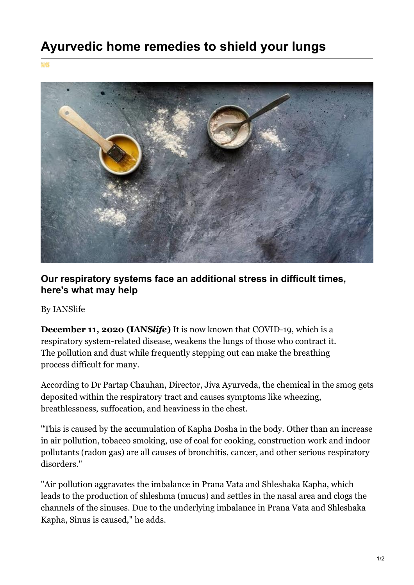**MMS** 



## **Our respiratory systems face an additional stress in difficult times, here's what may help**

## By IANSlife

**December 11, 2020 (IANS***life***)** It is now known that COVID-19, which is a respiratory system-related disease, weakens the lungs of those who contract it. The pollution and dust while frequently stepping out can make the breathing process difficult for many.

According to Dr Partap Chauhan, Director, Jiva Ayurveda, the chemical in the smog gets deposited within the respiratory tract and causes symptoms like wheezing, breathlessness, suffocation, and heaviness in the chest.

"This is caused by the accumulation of Kapha Dosha in the body. Other than an increase in air pollution, tobacco smoking, use of coal for cooking, construction work and indoor pollutants (radon gas) are all causes of bronchitis, cancer, and other serious respiratory disorders."

"Air pollution aggravates the imbalance in Prana Vata and Shleshaka Kapha, which leads to the production of shleshma (mucus) and settles in the nasal area and clogs the channels of the sinuses. Due to the underlying imbalance in Prana Vata and Shleshaka Kapha, Sinus is caused," he adds.